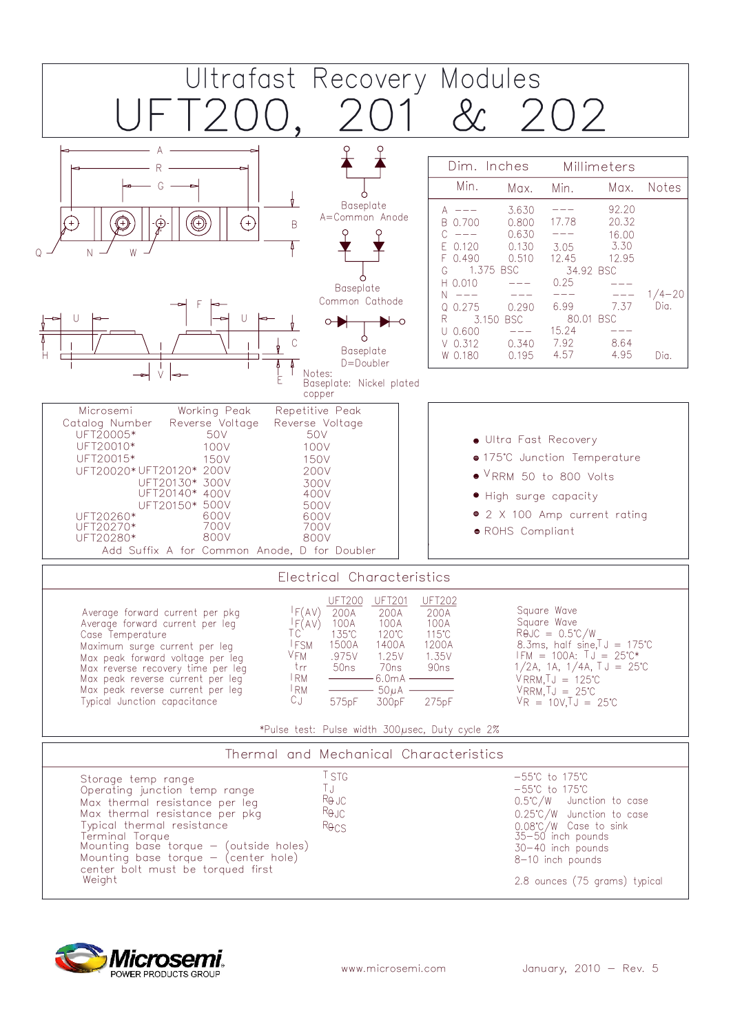

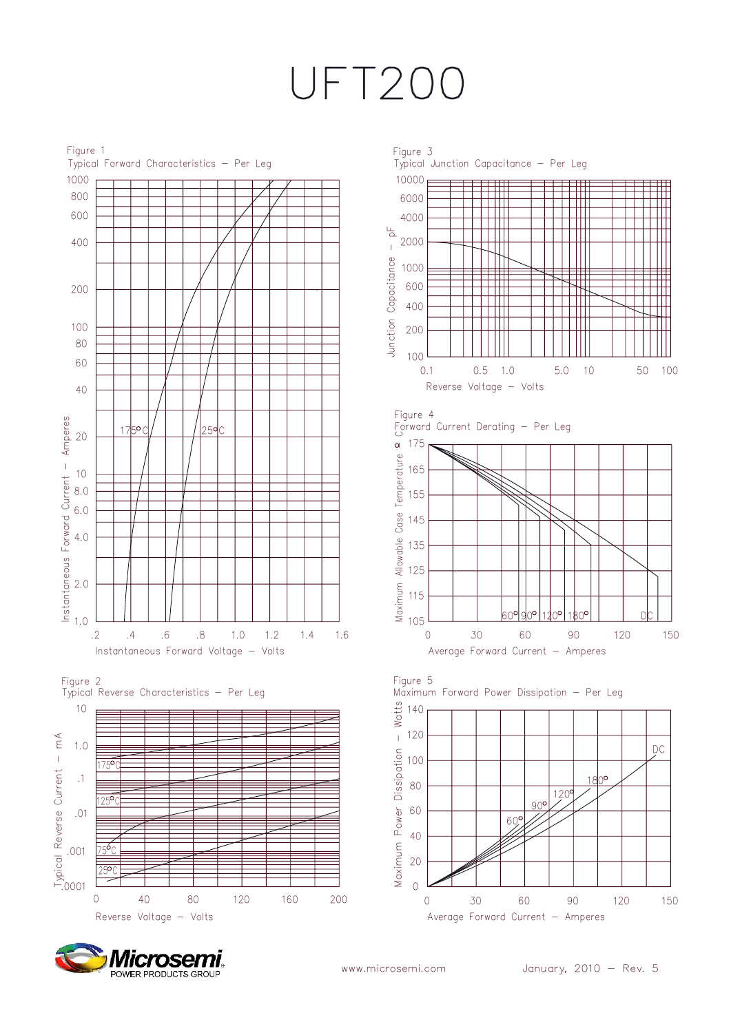## UFT200





Micros POWER PRODUCTS GROUP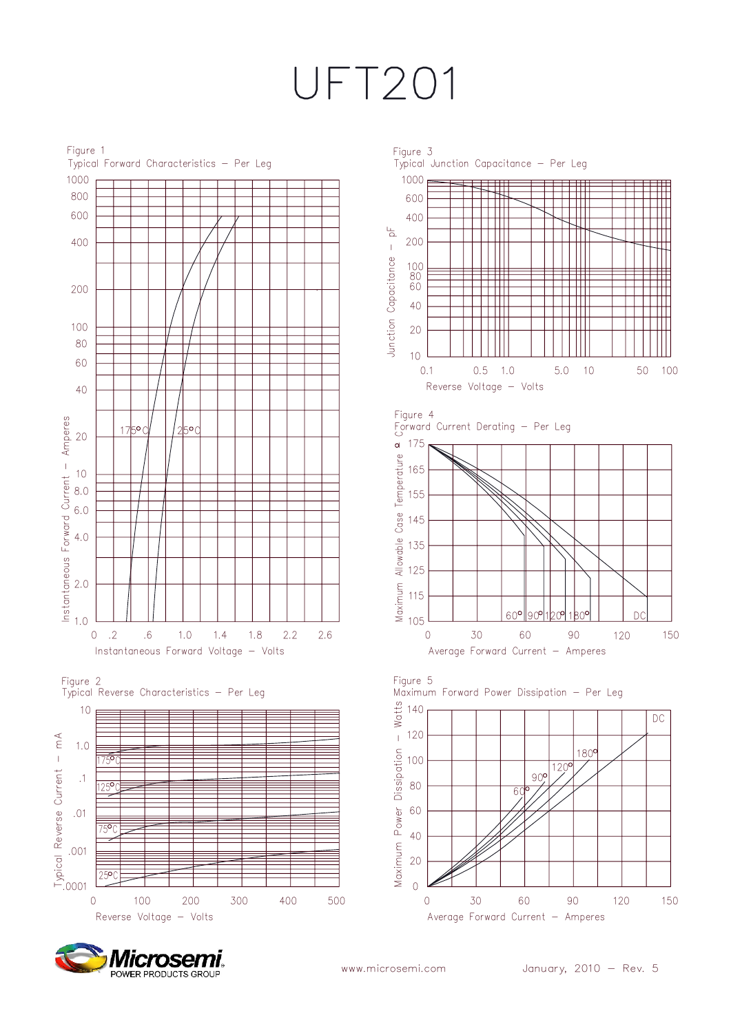## UFT201